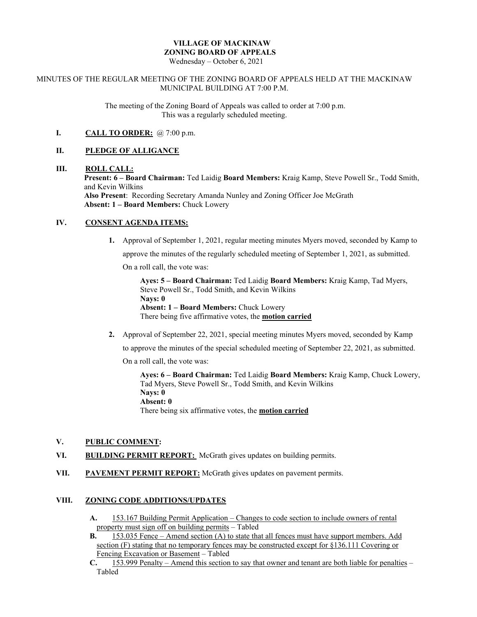# **VILLAGE OF MACKINAW ZONING BOARD OF APPEALS**

Wednesday – October 6, 2021

#### MINUTES OF THE REGULAR MEETING OF THE ZONING BOARD OF APPEALS HELD AT THE MACKINAW MUNICIPAL BUILDING AT 7:00 P.M.

The meeting of the Zoning Board of Appeals was called to order at 7:00 p.m. This was a regularly scheduled meeting.

## **I. CALL TO ORDER:** @ 7:00 p.m.

### **II. PLEDGE OF ALLIGANCE**

#### **III. ROLL CALL:**

**Present: 6 – Board Chairman:** Ted Laidig **Board Members:** Kraig Kamp, Steve Powell Sr., Todd Smith, and Kevin Wilkins

**Also Present**: Recording Secretary Amanda Nunley and Zoning Officer Joe McGrath **Absent: 1 – Board Members:** Chuck Lowery

## **IV. CONSENT AGENDA ITEMS:**

**1.** Approval of September 1, 2021, regular meeting minutes Myers moved, seconded by Kamp to

approve the minutes of the regularly scheduled meeting of September 1, 2021, as submitted.

On a roll call, the vote was:

**Ayes: 5 – Board Chairman:** Ted Laidig **Board Members:** Kraig Kamp, Tad Myers, Steve Powell Sr., Todd Smith, and Kevin Wilkins **Nays: 0 Absent: 1 – Board Members:** Chuck Lowery There being five affirmative votes, the **motion carried**

**2.** Approval of September 22, 2021, special meeting minutes Myers moved, seconded by Kamp

to approve the minutes of the special scheduled meeting of September 22, 2021, as submitted.

On a roll call, the vote was:

**Ayes: 6 – Board Chairman:** Ted Laidig **Board Members:** Kraig Kamp, Chuck Lowery, Tad Myers, Steve Powell Sr., Todd Smith, and Kevin Wilkins **Nays: 0 Absent: 0** There being six affirmative votes, the **motion carried**

## **V. PUBLIC COMMENT:**

- VI. **BUILDING PERMIT REPORT:** McGrath gives updates on building permits.
- **VII. PAVEMENT PERMIT REPORT:** McGrath gives updates on pavement permits.

#### **VIII. ZONING CODE ADDITIONS/UPDATES**

- **A.** 153.167 Building Permit Application Changes to code section to include owners of rental property must sign off on building permits – Tabled
- **B.** 153.035 Fence Amend section (A) to state that all fences must have support members. Add section (F) stating that no temporary fences may be constructed except for §136.111 Covering or Fencing Excavation or Basement – Tabled
- **C.** 153.999 Penalty Amend this section to say that owner and tenant are both liable for penalties Tabled